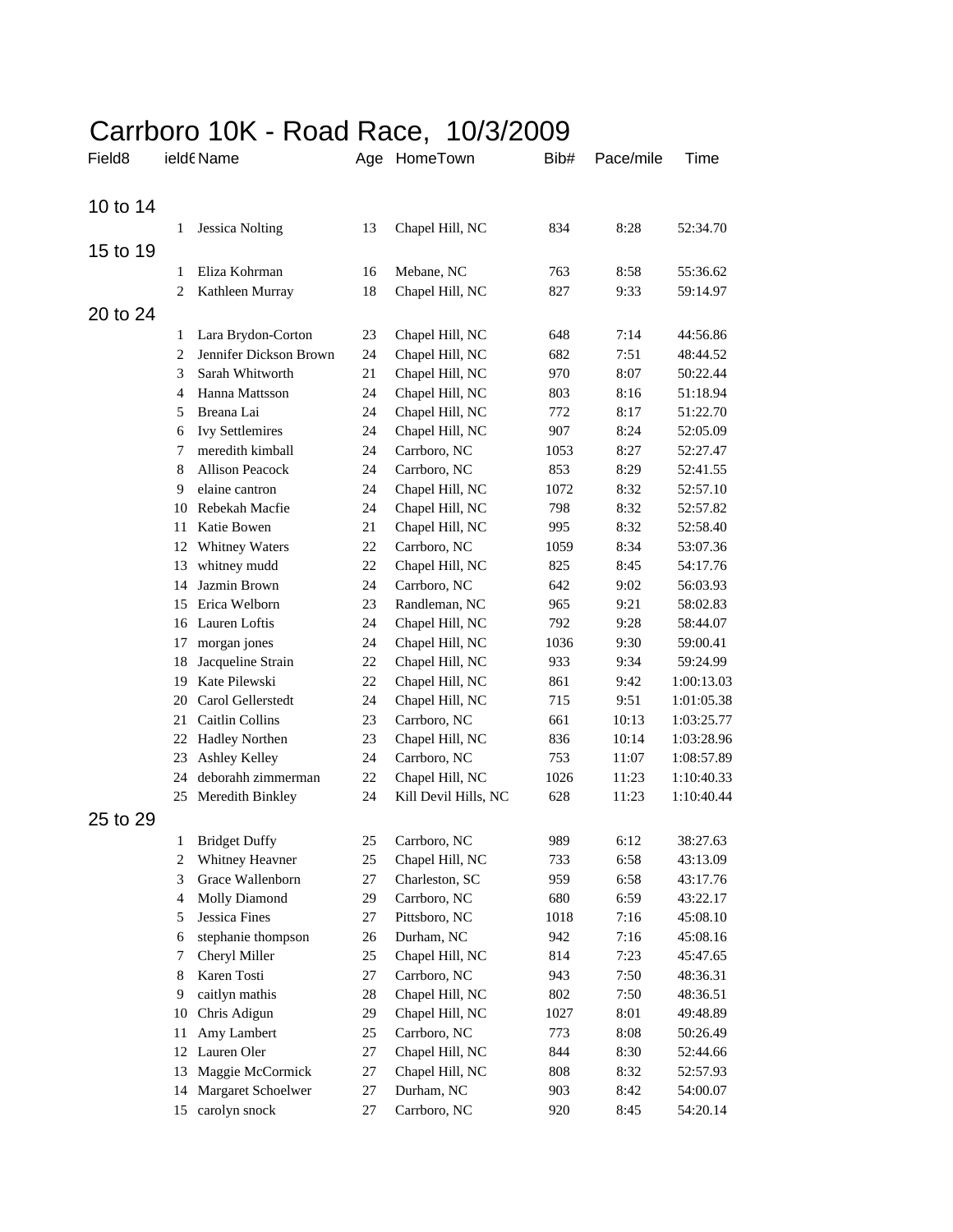## Carrboro 10K - Road Race, 10/3/2009

| Field <sub>8</sub> |    | ield6 Name             |        | Age HomeTown         | Bib# | Pace/mile | Time       |
|--------------------|----|------------------------|--------|----------------------|------|-----------|------------|
| 10 to 14           |    |                        |        |                      |      |           |            |
|                    | 1  | <b>Jessica Nolting</b> | 13     | Chapel Hill, NC      | 834  | 8:28      | 52:34.70   |
| 15 to 19           |    |                        |        |                      |      |           |            |
|                    | 1  | Eliza Kohrman          | 16     | Mebane, NC           | 763  | 8:58      | 55:36.62   |
|                    | 2  | Kathleen Murray        | 18     | Chapel Hill, NC      | 827  | 9:33      | 59:14.97   |
| 20 to 24           |    |                        |        |                      |      |           |            |
|                    | 1  | Lara Brydon-Corton     | 23     | Chapel Hill, NC      | 648  | 7:14      | 44:56.86   |
|                    | 2  | Jennifer Dickson Brown | 24     | Chapel Hill, NC      | 682  | 7:51      | 48:44.52   |
|                    | 3  | Sarah Whitworth        | 21     | Chapel Hill, NC      | 970  | 8:07      | 50:22.44   |
|                    | 4  | Hanna Mattsson         | 24     | Chapel Hill, NC      | 803  | 8:16      | 51:18.94   |
|                    | 5  | Breana Lai             | 24     | Chapel Hill, NC      | 772  | 8:17      | 51:22.70   |
|                    | 6  | <b>Ivy Settlemires</b> | 24     | Chapel Hill, NC      | 907  | 8:24      | 52:05.09   |
|                    | 7  | meredith kimball       | 24     | Carrboro, NC         | 1053 | 8:27      | 52:27.47   |
|                    | 8  | <b>Allison Peacock</b> | 24     | Carrboro, NC         | 853  | 8:29      | 52:41.55   |
|                    | 9  | elaine cantron         | 24     | Chapel Hill, NC      | 1072 | 8:32      | 52:57.10   |
|                    | 10 | Rebekah Macfie         | 24     | Chapel Hill, NC      | 798  | 8:32      | 52:57.82   |
|                    | 11 | Katie Bowen            | 21     | Chapel Hill, NC      | 995  | 8:32      | 52:58.40   |
|                    | 12 | <b>Whitney Waters</b>  | 22     | Carrboro, NC         | 1059 | 8:34      | 53:07.36   |
|                    | 13 | whitney mudd           | 22     | Chapel Hill, NC      | 825  | 8:45      | 54:17.76   |
|                    | 14 | Jazmin Brown           | 24     | Carrboro, NC         | 642  | 9:02      | 56:03.93   |
|                    | 15 | Erica Welborn          | 23     | Randleman, NC        | 965  | 9:21      | 58:02.83   |
|                    |    | 16 Lauren Loftis       | 24     | Chapel Hill, NC      | 792  | 9:28      | 58:44.07   |
|                    | 17 | morgan jones           | 24     | Chapel Hill, NC      | 1036 | 9:30      | 59:00.41   |
|                    | 18 | Jacqueline Strain      | 22     | Chapel Hill, NC      | 933  | 9:34      | 59:24.99   |
|                    | 19 | Kate Pilewski          | 22     | Chapel Hill, NC      | 861  | 9:42      | 1:00:13.03 |
|                    | 20 | Carol Gellerstedt      | 24     | Chapel Hill, NC      | 715  | 9:51      | 1:01:05.38 |
|                    | 21 | <b>Caitlin Collins</b> | 23     | Carrboro, NC         | 661  | 10:13     | 1:03:25.77 |
|                    | 22 | <b>Hadley Northen</b>  | 23     | Chapel Hill, NC      | 836  | 10:14     | 1:03:28.96 |
|                    | 23 | Ashley Kelley          | 24     | Carrboro, NC         | 753  | 11:07     | 1:08:57.89 |
|                    | 24 | deborahh zimmerman     | 22     | Chapel Hill, NC      | 1026 | 11:23     | 1:10:40.33 |
|                    | 25 | Meredith Binkley       | 24     | Kill Devil Hills, NC | 628  | 11:23     | 1:10:40.44 |
| 25 to 29           |    |                        |        |                      |      |           |            |
|                    | 1  | <b>Bridget Duffy</b>   | 25     | Carrboro, NC         | 989  | 6:12      | 38:27.63   |
|                    | 2  | Whitney Heavner        | 25     | Chapel Hill, NC      | 733  | 6:58      | 43:13.09   |
|                    | 3  | Grace Wallenborn       | 27     | Charleston, SC       | 959  | 6:58      | 43:17.76   |
|                    | 4  | <b>Molly Diamond</b>   | 29     | Carrboro, NC         | 680  | 6:59      | 43:22.17   |
|                    | 5  | Jessica Fines          | 27     | Pittsboro, NC        | 1018 | 7:16      | 45:08.10   |
|                    | 6  | stephanie thompson     | 26     | Durham, NC           | 942  | 7:16      | 45:08.16   |
|                    | 7  | Cheryl Miller          | 25     | Chapel Hill, NC      | 814  | 7:23      | 45:47.65   |
|                    | 8  | Karen Tosti            | 27     | Carrboro, NC         | 943  | 7:50      | 48:36.31   |
|                    | 9  | caitlyn mathis         | $28\,$ | Chapel Hill, NC      | 802  | 7:50      | 48:36.51   |
|                    | 10 | Chris Adigun           | 29     | Chapel Hill, NC      | 1027 | 8:01      | 49:48.89   |
|                    | 11 | Amy Lambert            | 25     | Carrboro, NC         | 773  | 8:08      | 50:26.49   |
|                    | 12 | Lauren Oler            | 27     | Chapel Hill, NC      | 844  | 8:30      | 52:44.66   |
|                    | 13 | Maggie McCormick       | 27     | Chapel Hill, NC      | 808  | 8:32      | 52:57.93   |
|                    | 14 | Margaret Schoelwer     | 27     | Durham, NC           | 903  | 8:42      | 54:00.07   |
|                    | 15 | carolyn snock          | 27     | Carrboro, NC         | 920  | 8:45      | 54:20.14   |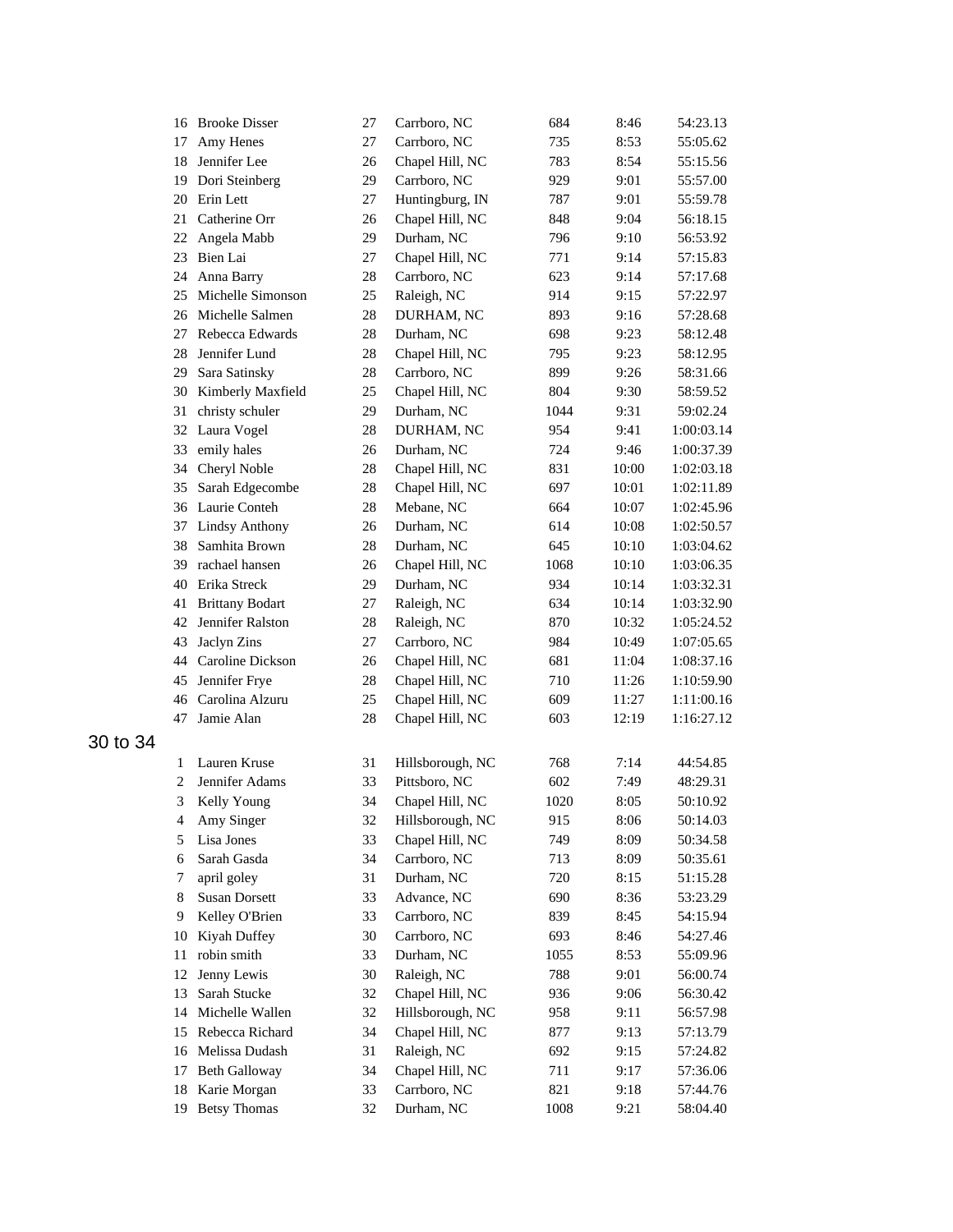|          | 16 Brooke Disser       | 27 | Carrboro, NC     | 684  | 8:46  | 54:23.13   |
|----------|------------------------|----|------------------|------|-------|------------|
| 17       | Amy Henes              | 27 | Carrboro, NC     | 735  | 8:53  | 55:05.62   |
| 18       | Jennifer Lee           | 26 | Chapel Hill, NC  | 783  | 8:54  | 55:15.56   |
| 19       | Dori Steinberg         | 29 | Carrboro, NC     | 929  | 9:01  | 55:57.00   |
| 20       | Erin Lett              | 27 | Huntingburg, IN  | 787  | 9:01  | 55:59.78   |
| 21       | Catherine Orr          | 26 | Chapel Hill, NC  | 848  | 9:04  | 56:18.15   |
| 22       | Angela Mabb            | 29 | Durham, NC       | 796  | 9:10  | 56:53.92   |
| 23       | Bien Lai               | 27 | Chapel Hill, NC  | 771  | 9:14  | 57:15.83   |
| 24       | Anna Barry             | 28 | Carrboro, NC     | 623  | 9:14  | 57:17.68   |
| 25       | Michelle Simonson      | 25 | Raleigh, NC      | 914  | 9:15  | 57:22.97   |
|          | 26 Michelle Salmen     | 28 | DURHAM, NC       | 893  | 9:16  | 57:28.68   |
| 27       | Rebecca Edwards        | 28 | Durham, NC       | 698  | 9:23  | 58:12.48   |
| 28       | Jennifer Lund          | 28 | Chapel Hill, NC  | 795  | 9:23  | 58:12.95   |
| 29       | Sara Satinsky          | 28 | Carrboro, NC     | 899  | 9:26  | 58:31.66   |
| 30       | Kimberly Maxfield      | 25 | Chapel Hill, NC  | 804  | 9:30  | 58:59.52   |
| 31       | christy schuler        | 29 | Durham, NC       | 1044 | 9:31  | 59:02.24   |
|          | 32 Laura Vogel         | 28 | DURHAM, NC       | 954  | 9:41  | 1:00:03.14 |
| 33       | emily hales            | 26 | Durham, NC       | 724  | 9:46  | 1:00:37.39 |
| 34       | Cheryl Noble           | 28 | Chapel Hill, NC  | 831  | 10:00 | 1:02:03.18 |
| 35       | Sarah Edgecombe        | 28 | Chapel Hill, NC  | 697  | 10:01 | 1:02:11.89 |
| 36       | Laurie Conteh          | 28 | Mebane, NC       | 664  | 10:07 | 1:02:45.96 |
| 37       | <b>Lindsy Anthony</b>  | 26 | Durham, NC       | 614  | 10:08 | 1:02:50.57 |
| 38       | Samhita Brown          | 28 | Durham, NC       | 645  | 10:10 | 1:03:04.62 |
| 39       | rachael hansen         | 26 | Chapel Hill, NC  | 1068 | 10:10 | 1:03:06.35 |
| 40       | Erika Streck           | 29 | Durham, NC       | 934  | 10:14 | 1:03:32.31 |
| 41       | <b>Brittany Bodart</b> | 27 | Raleigh, NC      | 634  | 10:14 | 1:03:32.90 |
| 42       | Jennifer Ralston       | 28 | Raleigh, NC      | 870  | 10:32 | 1:05:24.52 |
| 43       | Jaclyn Zins            | 27 | Carrboro, NC     | 984  | 10:49 | 1:07:05.65 |
| 44       | Caroline Dickson       | 26 | Chapel Hill, NC  | 681  | 11:04 | 1:08:37.16 |
| 45       | Jennifer Frye          | 28 | Chapel Hill, NC  | 710  | 11:26 | 1:10:59.90 |
| 46       | Carolina Alzuru        | 25 | Chapel Hill, NC  | 609  | 11:27 | 1:11:00.16 |
| 47       | Jamie Alan             | 28 | Chapel Hill, NC  | 603  | 12:19 | 1:16:27.12 |
| 30 to 34 |                        |    |                  |      |       |            |
| 1        | Lauren Kruse           | 31 | Hillsborough, NC | 768  | 7:14  | 44:54.85   |
| 2        | Jennifer Adams         | 33 | Pittsboro, NC    | 602  | 7:49  | 48:29.31   |
| 3        | Kelly Young            | 34 | Chapel Hill, NC  | 1020 | 8:05  | 50:10.92   |
| 4        | Amy Singer             | 32 | Hillsborough, NC | 915  | 8:06  | 50:14.03   |
| 5        | Lisa Jones             | 33 | Chapel Hill, NC  | 749  | 8:09  | 50:34.58   |
| 6        | Sarah Gasda            | 34 | Carrboro, NC     | 713  | 8:09  | 50:35.61   |
| 7        | april goley            | 31 | Durham, NC       | 720  | 8:15  | 51:15.28   |
| 8        | <b>Susan Dorsett</b>   | 33 | Advance, NC      | 690  | 8:36  | 53:23.29   |
| 9        | Kelley O'Brien         | 33 | Carrboro, NC     | 839  | 8:45  | 54:15.94   |
| 10       | Kiyah Duffey           | 30 | Carrboro, NC     | 693  | 8:46  | 54:27.46   |
| 11       | robin smith            | 33 | Durham, NC       | 1055 | 8:53  | 55:09.96   |
| 12       | Jenny Lewis            | 30 | Raleigh, NC      | 788  | 9:01  | 56:00.74   |
| 13       | Sarah Stucke           | 32 | Chapel Hill, NC  | 936  | 9:06  | 56:30.42   |
| 14       | Michelle Wallen        | 32 | Hillsborough, NC | 958  | 9:11  | 56:57.98   |
| 15       | Rebecca Richard        | 34 | Chapel Hill, NC  | 877  | 9:13  | 57:13.79   |
| 16       | Melissa Dudash         | 31 | Raleigh, NC      | 692  | 9:15  | 57:24.82   |
| 17       | <b>Beth Galloway</b>   | 34 | Chapel Hill, NC  | 711  | 9:17  | 57:36.06   |
| 18       | Karie Morgan           | 33 | Carrboro, NC     | 821  | 9:18  | 57:44.76   |
| 19       | <b>Betsy Thomas</b>    | 32 | Durham, NC       | 1008 | 9:21  | 58:04.40   |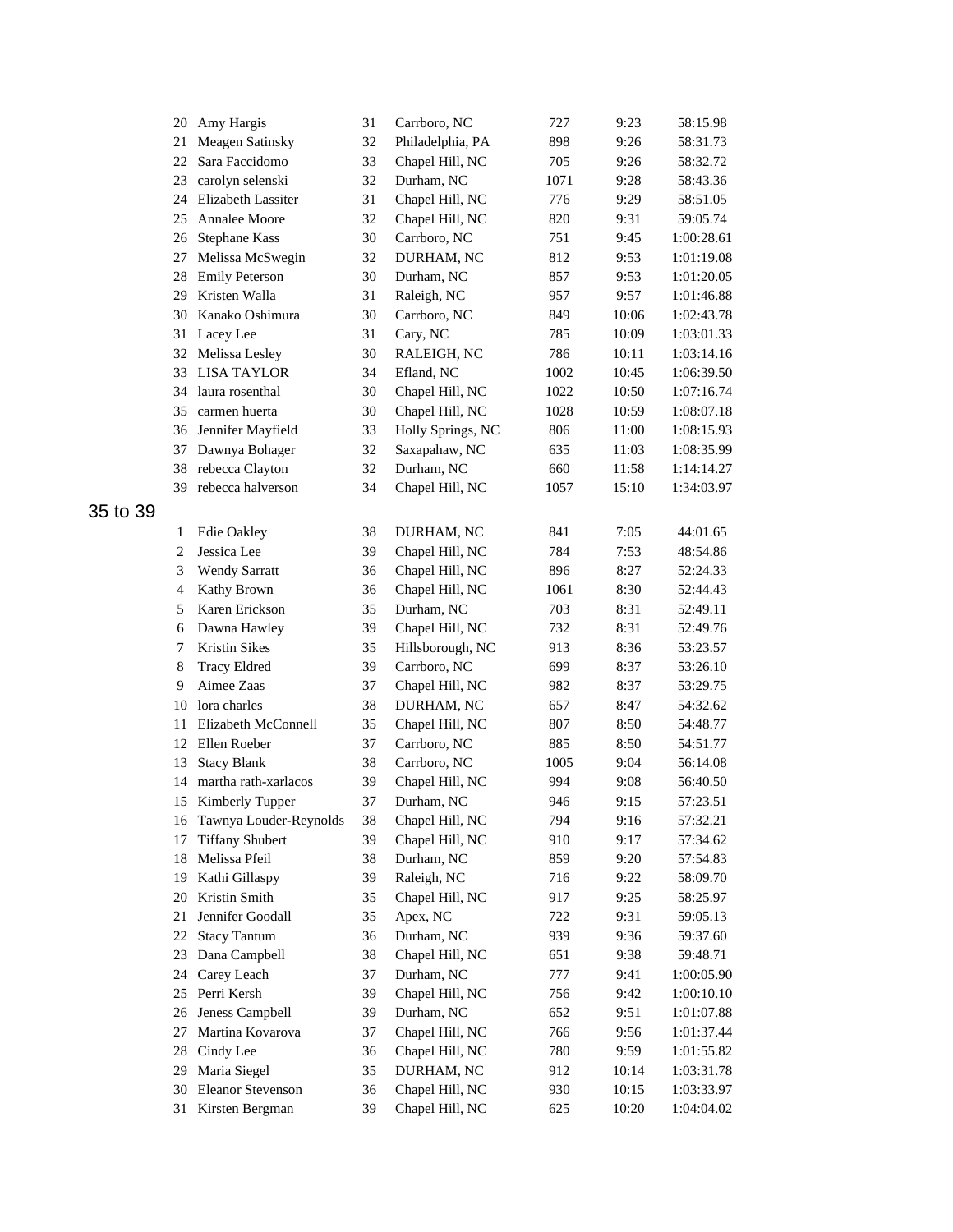|    | 20                | Amy Hargis                 | 31 | Carrboro, NC      | 727  | 9:23  | 58:15.98   |
|----|-------------------|----------------------------|----|-------------------|------|-------|------------|
|    | 21                | Meagen Satinsky            | 32 | Philadelphia, PA  | 898  | 9:26  | 58:31.73   |
|    | 22                | Sara Faccidomo             | 33 | Chapel Hill, NC   | 705  | 9:26  | 58:32.72   |
|    | 23                | carolyn selenski           | 32 | Durham, NC        | 1071 | 9:28  | 58:43.36   |
|    | 24                | Elizabeth Lassiter         | 31 | Chapel Hill, NC   | 776  | 9:29  | 58:51.05   |
|    | 25                | <b>Annalee Moore</b>       | 32 | Chapel Hill, NC   | 820  | 9:31  | 59:05.74   |
|    | 26                | <b>Stephane Kass</b>       | 30 | Carrboro, NC      | 751  | 9:45  | 1:00:28.61 |
|    | 27                | Melissa McSwegin           | 32 | DURHAM, NC        | 812  | 9:53  | 1:01:19.08 |
|    | 28                | <b>Emily Peterson</b>      | 30 | Durham, NC        | 857  | 9:53  | 1:01:20.05 |
|    | 29                | Kristen Walla              | 31 | Raleigh, NC       | 957  | 9:57  | 1:01:46.88 |
|    | 30                | Kanako Oshimura            | 30 | Carrboro, NC      | 849  | 10:06 | 1:02:43.78 |
|    | 31                | Lacey Lee                  | 31 | Cary, NC          | 785  | 10:09 | 1:03:01.33 |
|    | 32                | Melissa Lesley             | 30 | RALEIGH, NC       | 786  | 10:11 | 1:03:14.16 |
|    | 33                | <b>LISA TAYLOR</b>         | 34 | Efland, NC        | 1002 | 10:45 | 1:06:39.50 |
|    | 34                | laura rosenthal            | 30 | Chapel Hill, NC   | 1022 | 10:50 | 1:07:16.74 |
|    | 35                | carmen huerta              | 30 | Chapel Hill, NC   | 1028 | 10:59 | 1:08:07.18 |
|    | 36                | Jennifer Mayfield          | 33 | Holly Springs, NC | 806  | 11:00 | 1:08:15.93 |
|    | 37                | Dawnya Bohager             | 32 | Saxapahaw, NC     | 635  | 11:03 | 1:08:35.99 |
|    | 38                | rebecca Clayton            | 32 | Durham, NC        | 660  | 11:58 | 1:14:14.27 |
|    | 39                | rebecca halverson          | 34 | Chapel Hill, NC   | 1057 | 15:10 | 1:34:03.97 |
| 39 |                   |                            |    |                   |      |       |            |
|    |                   |                            | 38 |                   |      | 7:05  | 44:01.65   |
|    | 1<br>$\mathbf{2}$ | Edie Oakley<br>Jessica Lee | 39 | DURHAM, NC        | 841  | 7:53  | 48:54.86   |
|    | 3                 |                            | 36 | Chapel Hill, NC   | 784  | 8:27  | 52:24.33   |
|    |                   | <b>Wendy Sarratt</b>       |    | Chapel Hill, NC   | 896  |       |            |
|    | $\overline{4}$    | Kathy Brown                | 36 | Chapel Hill, NC   | 1061 | 8:30  | 52:44.43   |
|    | 5                 | Karen Erickson             | 35 | Durham, NC        | 703  | 8:31  | 52:49.11   |
|    | 6                 | Dawna Hawley               | 39 | Chapel Hill, NC   | 732  | 8:31  | 52:49.76   |
|    | 7                 | Kristin Sikes              | 35 | Hillsborough, NC  | 913  | 8:36  | 53:23.57   |
|    | 8                 | <b>Tracy Eldred</b>        | 39 | Carrboro, NC      | 699  | 8:37  | 53:26.10   |
|    | 9                 | Aimee Zaas                 | 37 | Chapel Hill, NC   | 982  | 8:37  | 53:29.75   |
|    | 10                | lora charles               | 38 | DURHAM, NC        | 657  | 8:47  | 54:32.62   |
|    | 11                | Elizabeth McConnell        | 35 | Chapel Hill, NC   | 807  | 8:50  | 54:48.77   |
|    | 12                | Ellen Roeber               | 37 | Carrboro, NC      | 885  | 8:50  | 54:51.77   |
|    | 13                | <b>Stacy Blank</b>         | 38 | Carrboro, NC      | 1005 | 9:04  | 56:14.08   |
|    | 14                | martha rath-xarlacos       | 39 | Chapel Hill, NC   | 994  | 9:08  | 56:40.50   |
|    | 15                | Kimberly Tupper            | 37 | Durham, NC        | 946  | 9:15  | 57:23.51   |
|    | 16                | Tawnya Louder-Reynolds     | 38 | Chapel Hill, NC   | 794  | 9:16  | 57:32.21   |
|    | 17                | <b>Tiffany Shubert</b>     | 39 | Chapel Hill, NC   | 910  | 9:17  | 57:34.62   |
|    | 18                | Melissa Pfeil              | 38 | Durham, NC        | 859  | 9:20  | 57:54.83   |
|    | 19                | Kathi Gillaspy             | 39 | Raleigh, NC       | 716  | 9:22  | 58:09.70   |
|    | 20                | Kristin Smith              | 35 | Chapel Hill, NC   | 917  | 9:25  | 58:25.97   |
|    | 21                | Jennifer Goodall           | 35 | Apex, NC          | 722  | 9:31  | 59:05.13   |
|    | 22                | <b>Stacy Tantum</b>        | 36 | Durham, NC        | 939  | 9:36  | 59:37.60   |
|    | 23                | Dana Campbell              | 38 | Chapel Hill, NC   | 651  | 9:38  | 59:48.71   |
|    | 24                | Carey Leach                | 37 | Durham, NC        | 777  | 9:41  | 1:00:05.90 |
|    | 25                | Perri Kersh                | 39 | Chapel Hill, NC   | 756  | 9:42  | 1:00:10.10 |
|    | 26                | Jeness Campbell            | 39 | Durham, NC        | 652  | 9:51  | 1:01:07.88 |
|    | 27                | Martina Kovarova           | 37 | Chapel Hill, NC   | 766  | 9:56  | 1:01:37.44 |
|    | 28                | Cindy Lee                  | 36 | Chapel Hill, NC   | 780  | 9:59  | 1:01:55.82 |
|    | 29                | Maria Siegel               | 35 | DURHAM, NC        | 912  | 10:14 | 1:03:31.78 |
|    | 30                | Eleanor Stevenson          | 36 | Chapel Hill, NC   | 930  | 10:15 | 1:03:33.97 |
|    | 31                | Kirsten Bergman            | 39 | Chapel Hill, NC   | 625  | 10:20 | 1:04:04.02 |

 $35$  to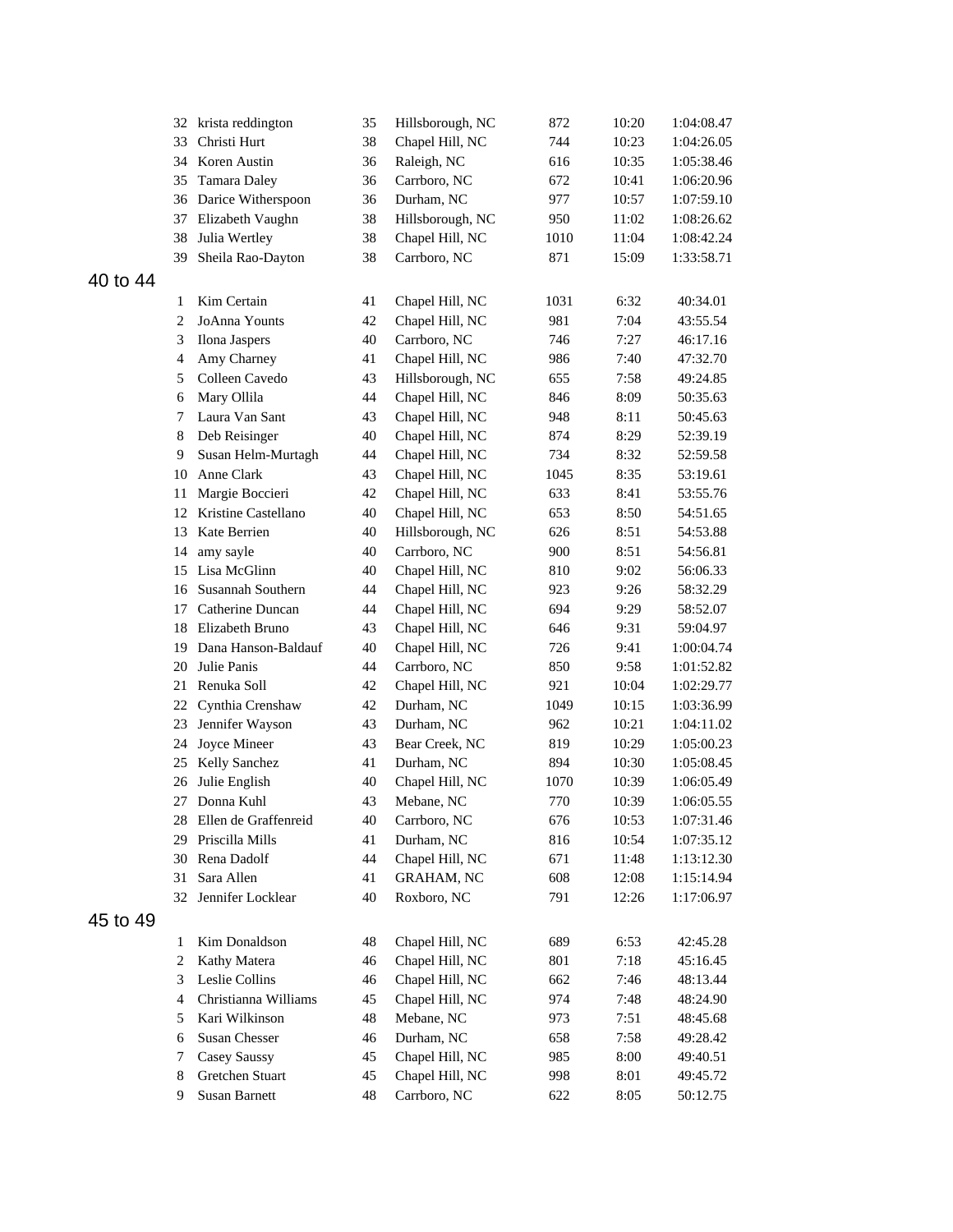|          |              | 32 krista reddington | 35 | Hillsborough, NC  | 872  | 10:20 | 1:04:08.47 |
|----------|--------------|----------------------|----|-------------------|------|-------|------------|
|          | 33           | Christi Hurt         | 38 | Chapel Hill, NC   | 744  | 10:23 | 1:04:26.05 |
|          | 34           | Koren Austin         | 36 | Raleigh, NC       | 616  | 10:35 | 1:05:38.46 |
|          | 35           | Tamara Daley         | 36 | Carrboro, NC      | 672  | 10:41 | 1:06:20.96 |
|          | 36           | Darice Witherspoon   | 36 | Durham, NC        | 977  | 10:57 | 1:07:59.10 |
|          | 37           | Elizabeth Vaughn     | 38 | Hillsborough, NC  | 950  | 11:02 | 1:08:26.62 |
|          | 38           | Julia Wertley        | 38 | Chapel Hill, NC   | 1010 | 11:04 | 1:08:42.24 |
|          | 39           | Sheila Rao-Dayton    | 38 | Carrboro, NC      | 871  | 15:09 | 1:33:58.71 |
| 40 to 44 |              |                      |    |                   |      |       |            |
|          | 1            | Kim Certain          | 41 | Chapel Hill, NC   | 1031 | 6:32  | 40:34.01   |
|          | 2            | JoAnna Younts        | 42 | Chapel Hill, NC   | 981  | 7:04  | 43:55.54   |
|          | 3            | Ilona Jaspers        | 40 | Carrboro, NC      | 746  | 7:27  | 46:17.16   |
|          | 4            | Amy Charney          | 41 | Chapel Hill, NC   | 986  | 7:40  | 47:32.70   |
|          | 5            | Colleen Cavedo       | 43 | Hillsborough, NC  | 655  | 7:58  | 49:24.85   |
|          | 6            | Mary Ollila          | 44 | Chapel Hill, NC   | 846  | 8:09  | 50:35.63   |
|          | 7            | Laura Van Sant       | 43 | Chapel Hill, NC   | 948  | 8:11  | 50:45.63   |
|          | 8            | Deb Reisinger        | 40 | Chapel Hill, NC   | 874  | 8:29  | 52:39.19   |
|          | 9            | Susan Helm-Murtagh   | 44 | Chapel Hill, NC   | 734  | 8:32  | 52:59.58   |
|          | 10           | Anne Clark           | 43 | Chapel Hill, NC   | 1045 | 8:35  | 53:19.61   |
|          | 11           | Margie Boccieri      | 42 | Chapel Hill, NC   | 633  | 8:41  | 53:55.76   |
|          | 12           | Kristine Castellano  | 40 | Chapel Hill, NC   | 653  | 8:50  | 54:51.65   |
|          | 13           | Kate Berrien         | 40 | Hillsborough, NC  | 626  | 8:51  | 54:53.88   |
|          | 14           | amy sayle            | 40 | Carrboro, NC      | 900  | 8:51  | 54:56.81   |
|          | 15           | Lisa McGlinn         | 40 | Chapel Hill, NC   | 810  | 9:02  | 56:06.33   |
|          | 16           | Susannah Southern    | 44 | Chapel Hill, NC   | 923  | 9:26  | 58:32.29   |
|          | 17           | Catherine Duncan     | 44 | Chapel Hill, NC   | 694  | 9:29  | 58:52.07   |
|          | 18           | Elizabeth Bruno      | 43 | Chapel Hill, NC   | 646  | 9:31  | 59:04.97   |
|          | 19           | Dana Hanson-Baldauf  | 40 | Chapel Hill, NC   | 726  | 9:41  | 1:00:04.74 |
|          | 20           | Julie Panis          | 44 | Carrboro, NC      | 850  | 9:58  | 1:01:52.82 |
|          | 21           | Renuka Soll          | 42 | Chapel Hill, NC   | 921  | 10:04 | 1:02:29.77 |
|          | 22           | Cynthia Crenshaw     | 42 | Durham, NC        | 1049 | 10:15 | 1:03:36.99 |
|          | 23           | Jennifer Wayson      | 43 | Durham, NC        | 962  | 10:21 | 1:04:11.02 |
|          | 24           | Joyce Mineer         | 43 | Bear Creek, NC    | 819  | 10:29 | 1:05:00.23 |
|          | 25           | Kelly Sanchez        | 41 | Durham, NC        | 894  | 10:30 | 1:05:08.45 |
|          | 26           | Julie English        | 40 | Chapel Hill, NC   | 1070 | 10:39 | 1:06:05.49 |
|          | 27           | Donna Kuhl           | 43 | Mebane, NC        | 770  | 10:39 | 1:06:05.55 |
|          | 28           | Ellen de Graffenreid | 40 | Carrboro, NC      | 676  | 10:53 | 1:07:31.46 |
|          | 29           | Priscilla Mills      | 41 | Durham, NC        | 816  | 10:54 | 1:07:35.12 |
|          | 30           | Rena Dadolf          | 44 | Chapel Hill, NC   | 671  | 11:48 | 1:13:12.30 |
|          | 31           | Sara Allen           | 41 | <b>GRAHAM, NC</b> | 608  | 12:08 | 1:15:14.94 |
|          |              | 32 Jennifer Locklear | 40 | Roxboro, NC       | 791  | 12:26 | 1:17:06.97 |
| 45 to 49 |              |                      |    |                   |      |       |            |
|          | 1            | Kim Donaldson        | 48 | Chapel Hill, NC   | 689  | 6:53  | 42:45.28   |
|          | $\mathbf{2}$ | Kathy Matera         | 46 | Chapel Hill, NC   | 801  | 7:18  | 45:16.45   |
|          | 3            | Leslie Collins       | 46 | Chapel Hill, NC   | 662  | 7:46  | 48:13.44   |
|          | 4            | Christianna Williams | 45 | Chapel Hill, NC   | 974  | 7:48  | 48:24.90   |
|          | 5            | Kari Wilkinson       | 48 | Mebane, NC        | 973  | 7:51  | 48:45.68   |
|          | 6            | Susan Chesser        | 46 | Durham, NC        | 658  | 7:58  | 49:28.42   |
|          | 7            | Casey Saussy         | 45 | Chapel Hill, NC   | 985  | 8:00  | 49:40.51   |
|          | 8            | Gretchen Stuart      | 45 | Chapel Hill, NC   | 998  | 8:01  | 49:45.72   |
|          | 9            | Susan Barnett        | 48 | Carrboro, NC      | 622  | 8:05  | 50:12.75   |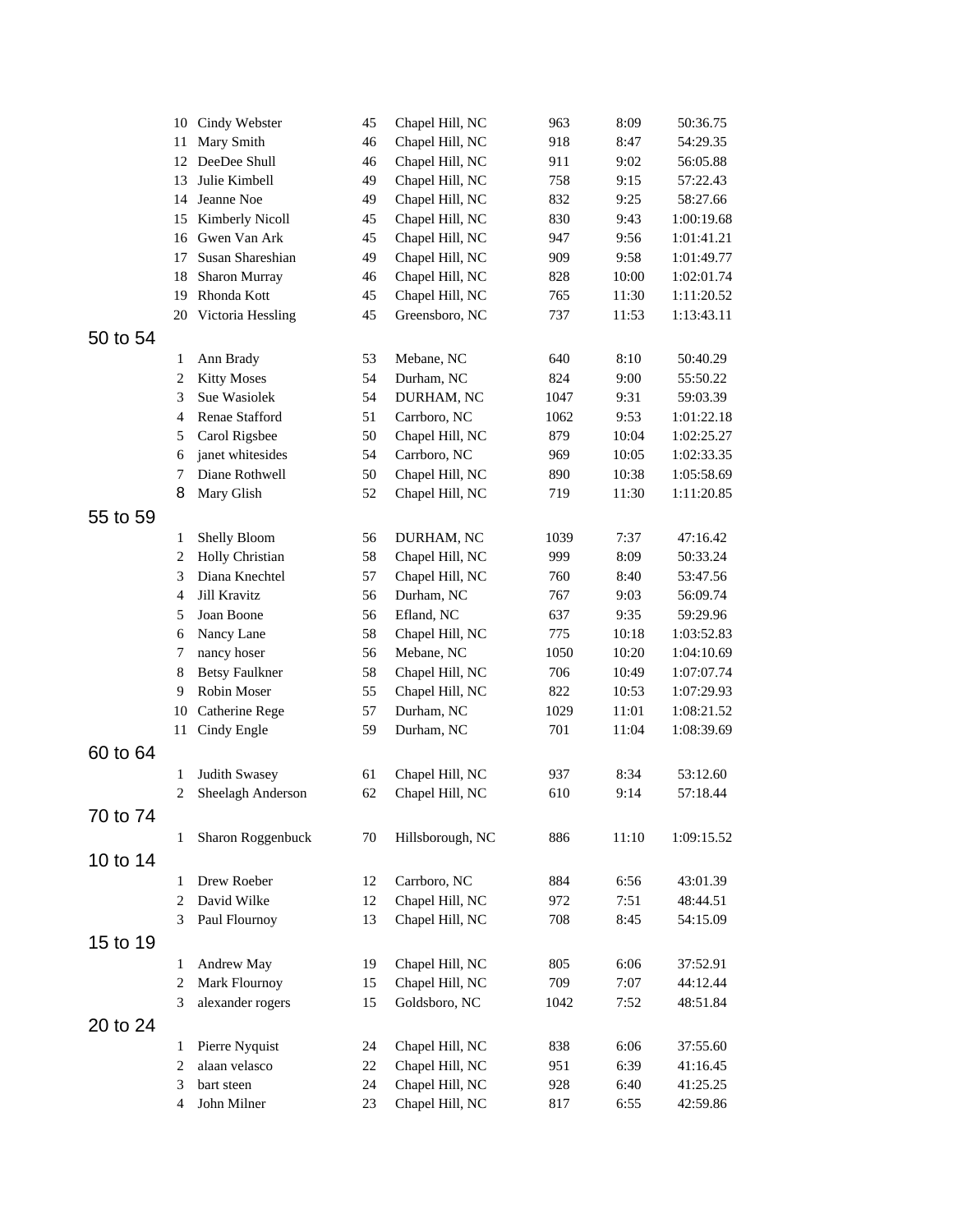|          |                     | 10 Cindy Webster          | 45       | Chapel Hill, NC                    | 963  | 8:09         | 50:36.75             |  |
|----------|---------------------|---------------------------|----------|------------------------------------|------|--------------|----------------------|--|
|          | 11                  | Mary Smith                | 46       | Chapel Hill, NC                    | 918  | 8:47         | 54:29.35             |  |
|          | 12                  | DeeDee Shull              | 46       | Chapel Hill, NC                    | 911  | 9:02         | 56:05.88             |  |
|          | 13                  | Julie Kimbell             | 49       | Chapel Hill, NC                    | 758  | 9:15         | 57:22.43             |  |
|          | 14                  | Jeanne Noe                | 49       | Chapel Hill, NC                    | 832  | 9:25         | 58:27.66             |  |
|          |                     | 15 Kimberly Nicoll        | 45       | Chapel Hill, NC                    | 830  | 9:43         | 1:00:19.68           |  |
|          |                     | 16 Gwen Van Ark           | 45       | Chapel Hill, NC                    | 947  | 9:56         | 1:01:41.21           |  |
|          | 17                  | Susan Shareshian          | 49       | Chapel Hill, NC                    | 909  | 9:58         | 1:01:49.77           |  |
|          | 18                  | Sharon Murray             | 46       | Chapel Hill, NC                    | 828  | 10:00        | 1:02:01.74           |  |
|          | 19                  | Rhonda Kott               | 45       | Chapel Hill, NC                    | 765  | 11:30        | 1:11:20.52           |  |
|          |                     | 20 Victoria Hessling      | 45       | Greensboro, NC                     | 737  | 11:53        | 1:13:43.11           |  |
| 50 to 54 |                     |                           |          |                                    |      |              |                      |  |
|          | $\mathbf{1}$        | Ann Brady                 | 53       | Mebane, NC                         | 640  | 8:10         | 50:40.29             |  |
|          | 2                   | <b>Kitty Moses</b>        | 54       | Durham, NC                         | 824  | 9:00         | 55:50.22             |  |
|          | 3                   | Sue Wasiolek              | 54       | DURHAM, NC                         | 1047 | 9:31         | 59:03.39             |  |
|          | $\overline{4}$      | Renae Stafford            | 51       | Carrboro, NC                       | 1062 | 9:53         | 1:01:22.18           |  |
|          | 5                   | Carol Rigsbee             | 50       | Chapel Hill, NC                    | 879  | 10:04        | 1:02:25.27           |  |
|          | 6                   | janet whitesides          | 54       | Carrboro, NC                       | 969  | 10:05        | 1:02:33.35           |  |
|          | 7                   | Diane Rothwell            | 50       | Chapel Hill, NC                    | 890  | 10:38        | 1:05:58.69           |  |
|          | 8                   | Mary Glish                | 52       | Chapel Hill, NC                    | 719  | 11:30        | 1:11:20.85           |  |
| 55 to 59 |                     |                           |          |                                    |      |              |                      |  |
|          | $\mathbf{1}$        | Shelly Bloom              | 56       | DURHAM, NC                         | 1039 | 7:37         | 47:16.42             |  |
|          | 2                   | Holly Christian           | 58       | Chapel Hill, NC                    | 999  | 8:09         | 50:33.24             |  |
|          | 3                   | Diana Knechtel            | 57       | Chapel Hill, NC                    | 760  | 8:40         | 53:47.56             |  |
|          | 4                   | Jill Kravitz              | 56       | Durham, NC                         | 767  | 9:03         | 56:09.74             |  |
|          | 5                   | Joan Boone                | 56       | Efland, NC                         | 637  | 9:35         | 59:29.96             |  |
|          | 6                   | Nancy Lane                | 58       | Chapel Hill, NC                    | 775  | 10:18        | 1:03:52.83           |  |
|          | 7                   | nancy hoser               | 56       | Mebane, NC                         | 1050 | 10:20        | 1:04:10.69           |  |
|          | 8                   | <b>Betsy Faulkner</b>     | 58       | Chapel Hill, NC                    | 706  | 10:49        | 1:07:07.74           |  |
|          | 9                   | Robin Moser               | 55       | Chapel Hill, NC                    | 822  | 10:53        | 1:07:29.93           |  |
|          | 10                  | Catherine Rege            | 57       | Durham, NC                         | 1029 | 11:01        | 1:08:21.52           |  |
|          | 11                  | Cindy Engle               | 59       | Durham, NC                         | 701  | 11:04        | 1:08:39.69           |  |
| 60 to 64 |                     |                           |          |                                    |      |              |                      |  |
|          | $\mathbf{1}$        | Judith Swasey             | 61       | Chapel Hill, NC                    | 937  | 8:34         | 53:12.60             |  |
|          | $\overline{2}$      | Sheelagh Anderson         | 62       | Chapel Hill, NC                    | 610  | 9:14         | 57:18.44             |  |
| 70 to 74 |                     |                           |          |                                    |      |              |                      |  |
|          | 1                   | Sharon Roggenbuck         | 70       | Hillsborough, NC                   | 886  | 11:10        | 1:09:15.52           |  |
| 10 to 14 |                     |                           |          |                                    |      |              |                      |  |
|          | 1                   | Drew Roeber               | 12       | Carrboro, NC                       | 884  | 6:56         | 43:01.39             |  |
|          | 2                   | David Wilke               | 12       | Chapel Hill, NC                    | 972  | 7:51         | 48:44.51             |  |
|          | 3                   | Paul Flournoy             | 13       | Chapel Hill, NC                    | 708  | 8:45         | 54:15.09             |  |
| 15 to 19 |                     |                           |          |                                    |      |              |                      |  |
|          | 1                   | Andrew May                | 19       | Chapel Hill, NC                    | 805  | 6:06         | 37:52.91             |  |
|          | $\mathbf{2}$        | Mark Flournoy             | 15       | Chapel Hill, NC                    | 709  | 7:07         | 44:12.44             |  |
|          | 3                   | alexander rogers          | 15       | Goldsboro, NC                      | 1042 | 7:52         | 48:51.84             |  |
|          |                     |                           |          |                                    |      |              |                      |  |
| 20 to 24 |                     |                           |          |                                    |      |              |                      |  |
|          | 1                   | Pierre Nyquist            | 24       | Chapel Hill, NC                    | 838  | 6:06         | 37:55.60             |  |
|          | $\overline{c}$      | alaan velasco             | 22       | Chapel Hill, NC                    | 951  | 6:39         | 41:16.45             |  |
|          | 3<br>$\overline{4}$ | bart steen<br>John Milner | 24<br>23 | Chapel Hill, NC<br>Chapel Hill, NC | 928  | 6:40<br>6:55 | 41:25.25<br>42:59.86 |  |
|          |                     |                           |          |                                    | 817  |              |                      |  |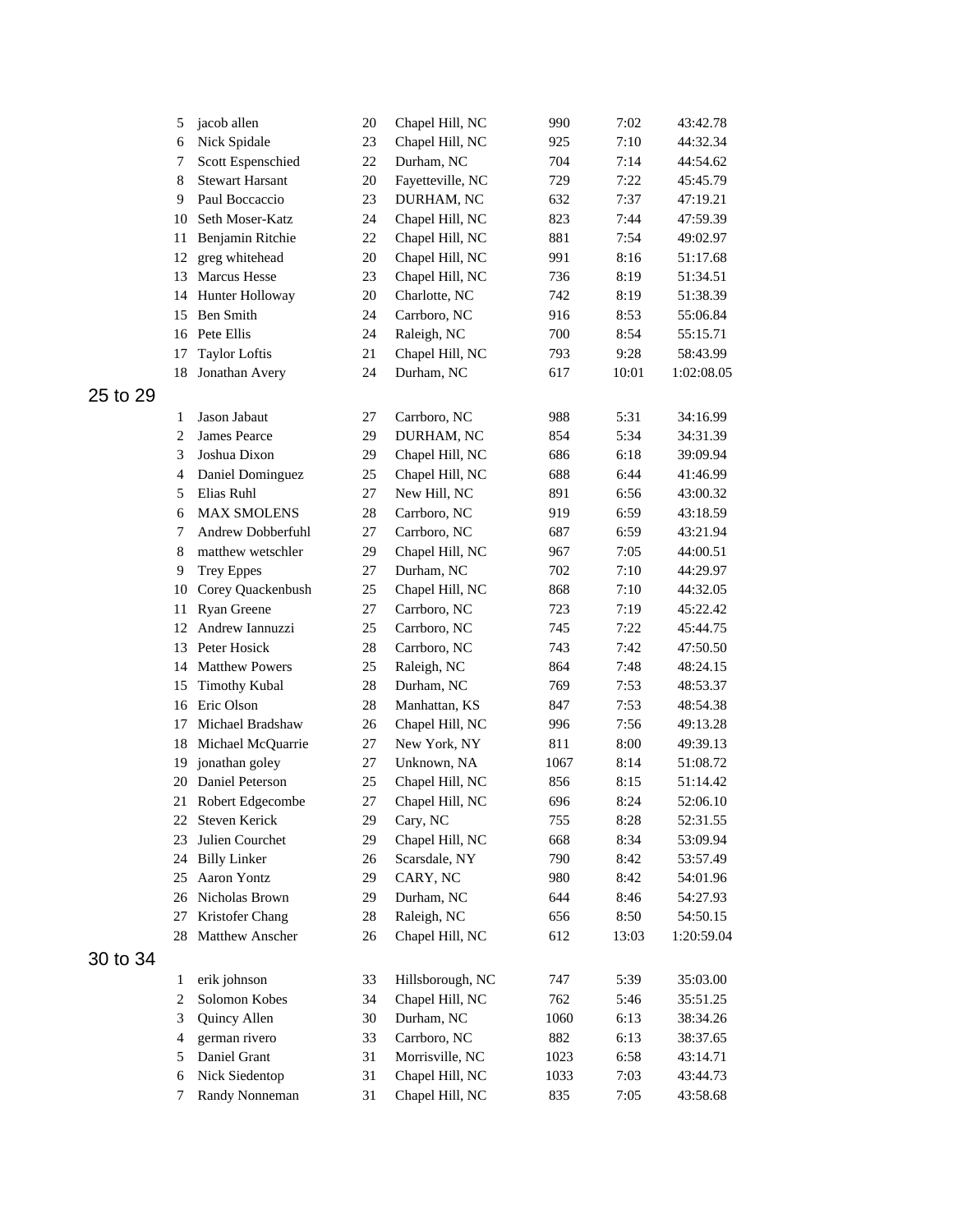|          | 5              | jacob allen            | 20     | Chapel Hill, NC  | 990  | 7:02  | 43:42.78   |
|----------|----------------|------------------------|--------|------------------|------|-------|------------|
|          | 6              | Nick Spidale           | 23     | Chapel Hill, NC  | 925  | 7:10  | 44:32.34   |
|          | 7              | Scott Espenschied      | $22\,$ | Durham, NC       | 704  | 7:14  | 44:54.62   |
|          | 8              | <b>Stewart Harsant</b> | 20     | Fayetteville, NC | 729  | 7:22  | 45:45.79   |
|          | 9              | Paul Boccaccio         | 23     | DURHAM, NC       | 632  | 7:37  | 47:19.21   |
|          | 10             | Seth Moser-Katz        | 24     | Chapel Hill, NC  | 823  | 7:44  | 47:59.39   |
|          | 11             | Benjamin Ritchie       | 22     | Chapel Hill, NC  | 881  | 7:54  | 49:02.97   |
|          | 12             | greg whitehead         | 20     | Chapel Hill, NC  | 991  | 8:16  | 51:17.68   |
|          | 13             | <b>Marcus Hesse</b>    | 23     | Chapel Hill, NC  | 736  | 8:19  | 51:34.51   |
|          | 14             | Hunter Holloway        | 20     | Charlotte, NC    | 742  | 8:19  | 51:38.39   |
|          | 15             | Ben Smith              | 24     | Carrboro, NC     | 916  | 8:53  | 55:06.84   |
|          | 16             | Pete Ellis             | 24     | Raleigh, NC      | 700  | 8:54  | 55:15.71   |
|          | 17             | <b>Taylor Loftis</b>   | 21     | Chapel Hill, NC  | 793  | 9:28  | 58:43.99   |
|          | 18             | Jonathan Avery         | 24     | Durham, NC       | 617  | 10:01 | 1:02:08.05 |
| 25 to 29 |                |                        |        |                  |      |       |            |
|          | 1              | Jason Jabaut           | 27     | Carrboro, NC     | 988  | 5:31  | 34:16.99   |
|          | $\overline{2}$ | James Pearce           | 29     | DURHAM, NC       | 854  | 5:34  | 34:31.39   |
|          | 3              | Joshua Dixon           | 29     | Chapel Hill, NC  | 686  | 6:18  | 39:09.94   |
|          | 4              | Daniel Dominguez       | 25     | Chapel Hill, NC  | 688  | 6:44  | 41:46.99   |
|          | 5              | Elias Ruhl             | 27     | New Hill, NC     | 891  | 6:56  | 43:00.32   |
|          | 6              | <b>MAX SMOLENS</b>     | $28\,$ | Carrboro, NC     | 919  | 6:59  | 43:18.59   |
|          | 7              | Andrew Dobberfuhl      | 27     | Carrboro, NC     | 687  | 6:59  | 43:21.94   |
|          | 8              | matthew wetschler      | 29     | Chapel Hill, NC  | 967  | 7:05  | 44:00.51   |
|          | 9              | <b>Trey Eppes</b>      | 27     | Durham, NC       | 702  | 7:10  | 44:29.97   |
|          | 10             | Corey Quackenbush      | 25     | Chapel Hill, NC  | 868  | 7:10  | 44:32.05   |
|          | 11             | Ryan Greene            | 27     | Carrboro, NC     | 723  | 7:19  | 45:22.42   |
|          | 12             | Andrew Iannuzzi        | 25     | Carrboro, NC     | 745  | 7:22  | 45:44.75   |
|          | 13             | Peter Hosick           | 28     | Carrboro, NC     | 743  | 7:42  | 47:50.50   |
|          | 14             | <b>Matthew Powers</b>  | 25     | Raleigh, NC      | 864  | 7:48  | 48:24.15   |
|          | 15             | <b>Timothy Kubal</b>   | 28     | Durham, NC       | 769  | 7:53  | 48:53.37   |
|          | 16             | Eric Olson             | 28     | Manhattan, KS    | 847  | 7:53  | 48:54.38   |
|          | 17             | Michael Bradshaw       | 26     | Chapel Hill, NC  | 996  | 7:56  | 49:13.28   |
|          | 18             | Michael McQuarrie      | 27     | New York, NY     | 811  | 8:00  | 49:39.13   |
|          | 19             | jonathan goley         | 27     | Unknown, NA      | 1067 | 8:14  | 51:08.72   |
|          | 20             | Daniel Peterson        | 25     | Chapel Hill, NC  | 856  | 8:15  | 51:14.42   |
|          | 21             | Robert Edgecombe       | 27     | Chapel Hill, NC  | 696  | 8:24  | 52:06.10   |
|          | 22             | Steven Kerick          | 29     | Cary, NC         | 755  | 8:28  | 52:31.55   |
|          | 23             | Julien Courchet        | 29     | Chapel Hill, NC  | 668  | 8:34  | 53:09.94   |
|          | 24             | <b>Billy Linker</b>    | 26     | Scarsdale, NY    | 790  | 8:42  | 53:57.49   |
|          | 25             | Aaron Yontz            | 29     | CARY, NC         | 980  | 8:42  | 54:01.96   |
|          | 26             | Nicholas Brown         | 29     | Durham, NC       | 644  | 8:46  | 54:27.93   |
|          | 27             | Kristofer Chang        | $28\,$ | Raleigh, NC      | 656  | 8:50  | 54:50.15   |
|          | 28             | Matthew Anscher        | 26     | Chapel Hill, NC  | 612  | 13:03 | 1:20:59.04 |
| 30 to 34 |                |                        |        |                  |      |       |            |
|          | 1              | erik johnson           | 33     | Hillsborough, NC | 747  | 5:39  | 35:03.00   |
|          | $\overline{2}$ | Solomon Kobes          | 34     | Chapel Hill, NC  | 762  | 5:46  | 35:51.25   |
|          | 3              | Quincy Allen           | $30\,$ | Durham, NC       | 1060 | 6:13  | 38:34.26   |
|          | 4              | german rivero          | 33     | Carrboro, NC     | 882  | 6:13  | 38:37.65   |
|          | 5              | Daniel Grant           | 31     | Morrisville, NC  | 1023 | 6:58  | 43:14.71   |
|          | 6              | Nick Siedentop         | 31     | Chapel Hill, NC  | 1033 | 7:03  | 43:44.73   |
|          | 7              | Randy Nonneman         | 31     | Chapel Hill, NC  | 835  | 7:05  | 43:58.68   |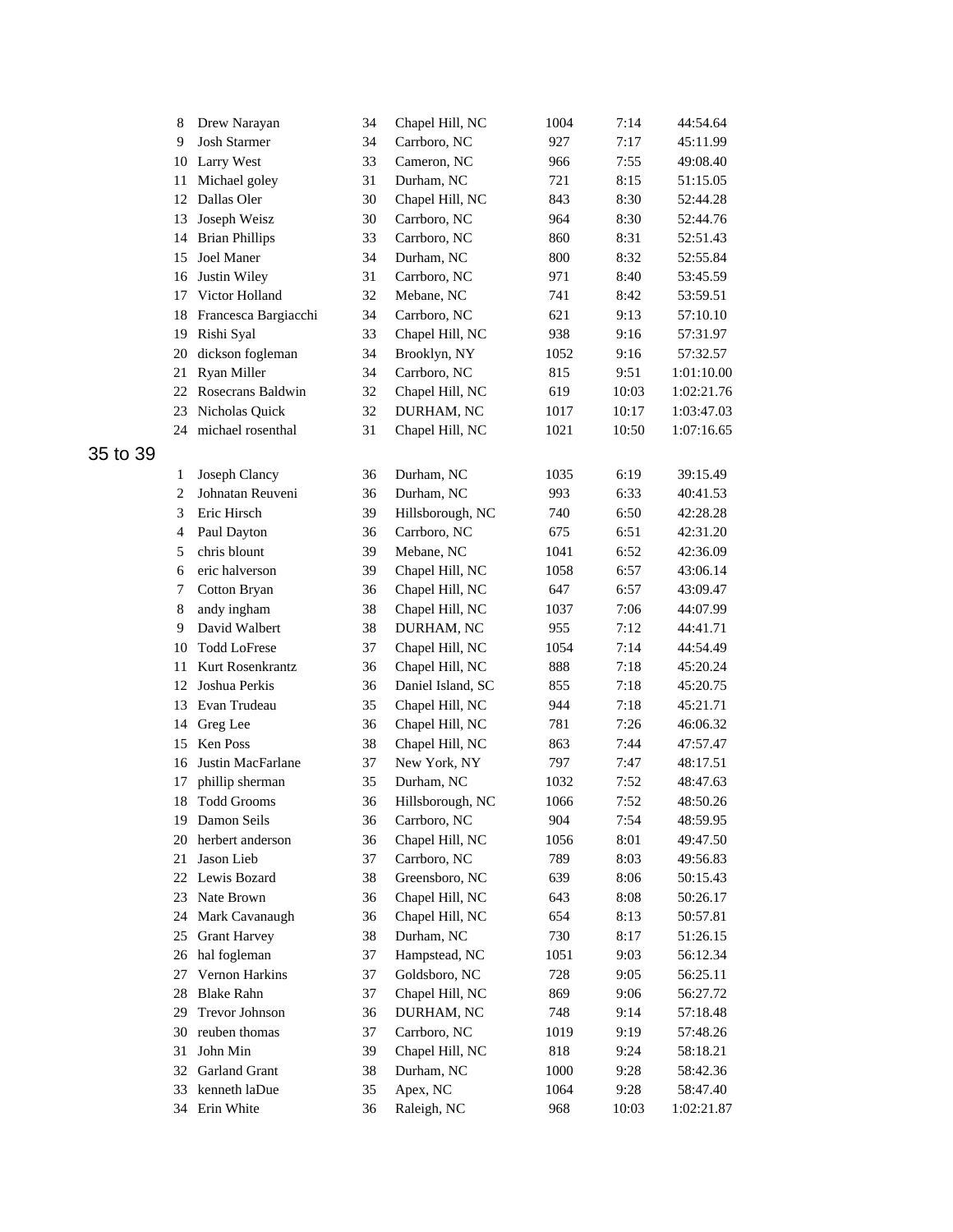|          | 8              | Drew Narayan             | 34 | Chapel Hill, NC   | 1004 | 7:14  | 44:54.64   |
|----------|----------------|--------------------------|----|-------------------|------|-------|------------|
|          | 9              | <b>Josh Starmer</b>      | 34 | Carrboro, NC      | 927  | 7:17  | 45:11.99   |
|          | 10             | Larry West               | 33 | Cameron, NC       | 966  | 7:55  | 49:08.40   |
|          | 11             | Michael goley            | 31 | Durham, NC        | 721  | 8:15  | 51:15.05   |
|          | 12             | Dallas Oler              | 30 | Chapel Hill, NC   | 843  | 8:30  | 52:44.28   |
|          | 13             | Joseph Weisz             | 30 | Carrboro, NC      | 964  | 8:30  | 52:44.76   |
|          | 14             | <b>Brian Phillips</b>    | 33 | Carrboro, NC      | 860  | 8:31  | 52:51.43   |
|          | 15             | Joel Maner               | 34 | Durham, NC        | 800  | 8:32  | 52:55.84   |
|          | 16             | Justin Wiley             | 31 | Carrboro, NC      | 971  | 8:40  | 53:45.59   |
|          | 17             | Victor Holland           | 32 | Mebane, NC        | 741  | 8:42  | 53:59.51   |
|          | 18             | Francesca Bargiacchi     | 34 | Carrboro, NC      | 621  | 9:13  | 57:10.10   |
|          | 19             | Rishi Syal               | 33 | Chapel Hill, NC   | 938  | 9:16  | 57:31.97   |
|          | 20             | dickson fogleman         | 34 | Brooklyn, NY      | 1052 | 9:16  | 57:32.57   |
|          | 21             | Ryan Miller              | 34 | Carrboro, NC      | 815  | 9:51  | 1:01:10.00 |
|          | 22             | Rosecrans Baldwin        | 32 | Chapel Hill, NC   | 619  | 10:03 | 1:02:21.76 |
|          | 23             | Nicholas Quick           | 32 | DURHAM, NC        | 1017 | 10:17 | 1:03:47.03 |
|          | 24             | michael rosenthal        | 31 | Chapel Hill, NC   | 1021 | 10:50 | 1:07:16.65 |
| 35 to 39 |                |                          |    |                   |      |       |            |
|          | 1              | Joseph Clancy            | 36 | Durham, NC        | 1035 | 6:19  | 39:15.49   |
|          | $\overline{2}$ | Johnatan Reuveni         | 36 | Durham, NC        | 993  | 6:33  | 40:41.53   |
|          | 3              | Eric Hirsch              | 39 | Hillsborough, NC  | 740  | 6:50  | 42:28.28   |
|          | 4              | Paul Dayton              | 36 | Carrboro, NC      | 675  | 6:51  | 42:31.20   |
|          | 5              | chris blount             | 39 | Mebane, NC        | 1041 | 6:52  | 42:36.09   |
|          | 6              | eric halverson           | 39 | Chapel Hill, NC   | 1058 | 6:57  | 43:06.14   |
|          | 7              | Cotton Bryan             | 36 | Chapel Hill, NC   | 647  | 6:57  | 43:09.47   |
|          | 8              | andy ingham              | 38 | Chapel Hill, NC   | 1037 | 7:06  | 44:07.99   |
|          | 9              | David Walbert            | 38 | DURHAM, NC        | 955  | 7:12  | 44:41.71   |
|          | 10             | <b>Todd LoFrese</b>      | 37 | Chapel Hill, NC   | 1054 | 7:14  | 44:54.49   |
|          | 11             | Kurt Rosenkrantz         | 36 | Chapel Hill, NC   | 888  | 7:18  | 45:20.24   |
|          | 12             | Joshua Perkis            | 36 | Daniel Island, SC | 855  | 7:18  | 45:20.75   |
|          | 13             | Evan Trudeau             | 35 | Chapel Hill, NC   | 944  | 7:18  | 45:21.71   |
|          | 14             | Greg Lee                 | 36 | Chapel Hill, NC   | 781  | 7:26  | 46:06.32   |
|          | 15             | <b>Ken Poss</b>          | 38 | Chapel Hill, NC   | 863  | 7:44  | 47:57.47   |
|          | 16             | <b>Justin MacFarlane</b> | 37 | New York, NY      | 797  | 7:47  | 48:17.51   |
|          | 17             | phillip sherman          | 35 | Durham, NC        | 1032 | 7:52  | 48:47.63   |
|          | 18             | <b>Todd Grooms</b>       | 36 | Hillsborough, NC  | 1066 | 7:52  | 48:50.26   |
|          | 19             | Damon Seils              | 36 | Carrboro, NC      | 904  | 7:54  | 48:59.95   |
|          | 20             | herbert anderson         | 36 | Chapel Hill, NC   | 1056 | 8:01  | 49:47.50   |
|          | 21             | Jason Lieb               | 37 | Carrboro, NC      | 789  | 8:03  | 49:56.83   |
|          | 22             | Lewis Bozard             | 38 | Greensboro, NC    | 639  | 8:06  | 50:15.43   |
|          | 23             | Nate Brown               | 36 | Chapel Hill, NC   | 643  | 8:08  | 50:26.17   |
|          | 24             | Mark Cavanaugh           | 36 | Chapel Hill, NC   | 654  | 8:13  | 50:57.81   |
|          | 25             | <b>Grant Harvey</b>      | 38 | Durham, NC        | 730  | 8:17  | 51:26.15   |
|          | 26             | hal fogleman             | 37 | Hampstead, NC     | 1051 | 9:03  | 56:12.34   |
|          | 27             | Vernon Harkins           | 37 | Goldsboro, NC     | 728  | 9:05  | 56:25.11   |
|          | 28             | <b>Blake Rahn</b>        | 37 | Chapel Hill, NC   | 869  | 9:06  | 56:27.72   |
|          | 29             | Trevor Johnson           | 36 | DURHAM, NC        | 748  | 9:14  | 57:18.48   |
|          | 30             | reuben thomas            | 37 | Carrboro, NC      | 1019 | 9:19  | 57:48.26   |
|          | 31             | John Min                 | 39 | Chapel Hill, NC   | 818  | 9:24  | 58:18.21   |
|          | 32             | Garland Grant            | 38 | Durham, NC        | 1000 | 9:28  | 58:42.36   |
|          | 33             | kenneth laDue            | 35 | Apex, NC          | 1064 | 9:28  | 58:47.40   |
|          | 34             | Erin White               | 36 | Raleigh, NC       | 968  | 10:03 | 1:02:21.87 |
|          |                |                          |    |                   |      |       |            |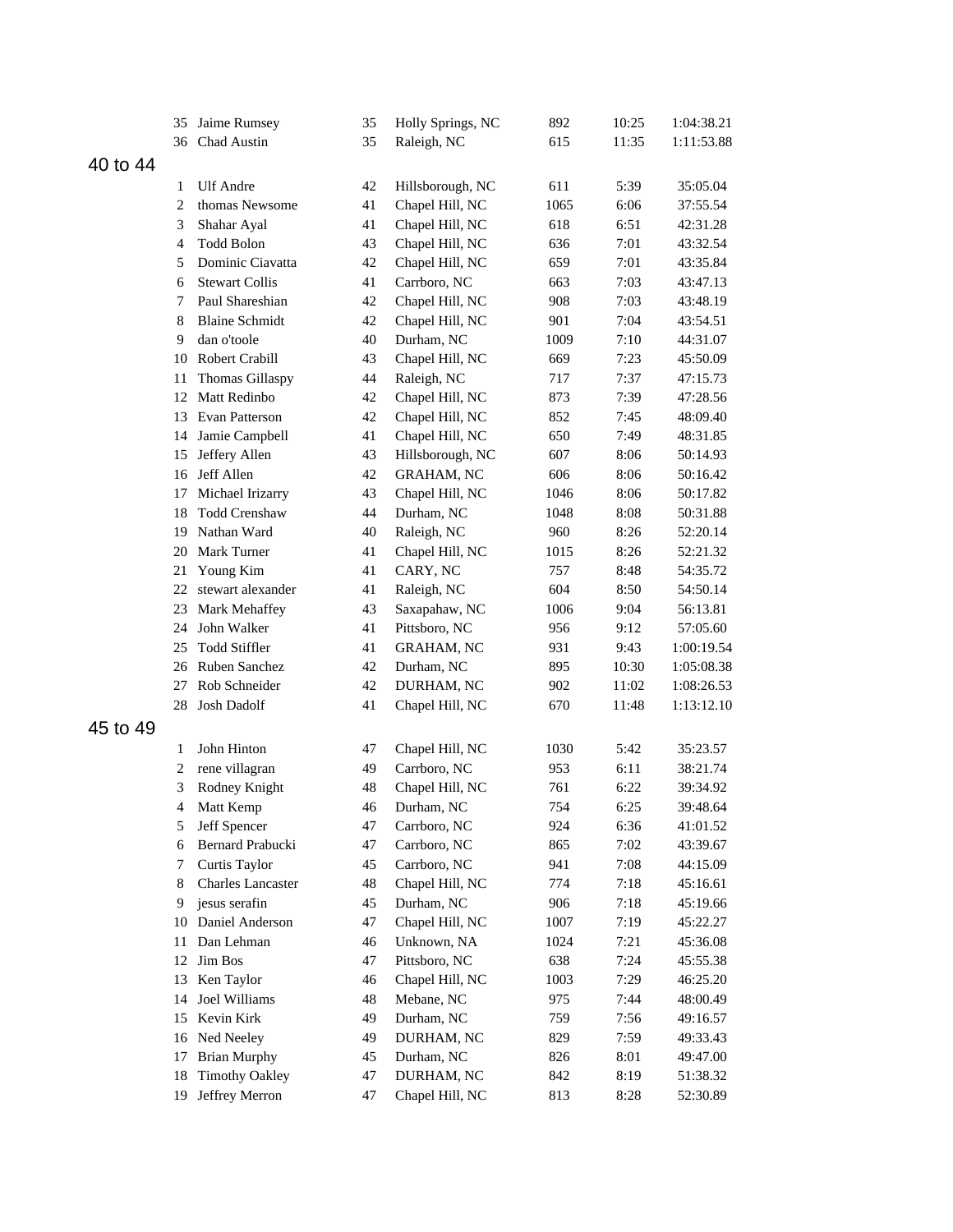|          | 35             | Jaime Rumsey             | 35       | Holly Springs, NC | 892  | 10:25 | 1:04:38.21 |
|----------|----------------|--------------------------|----------|-------------------|------|-------|------------|
|          | 36             | Chad Austin              | 35       | Raleigh, NC       | 615  | 11:35 | 1:11:53.88 |
| 40 to 44 |                |                          |          |                   |      |       |            |
|          | 1              | <b>Ulf</b> Andre         | 42       | Hillsborough, NC  | 611  | 5:39  | 35:05.04   |
|          | $\overline{2}$ | thomas Newsome           | 41       | Chapel Hill, NC   | 1065 | 6:06  | 37:55.54   |
|          | 3              | Shahar Ayal              | 41       | Chapel Hill, NC   | 618  | 6:51  | 42:31.28   |
|          | 4              | <b>Todd Bolon</b>        | 43       | Chapel Hill, NC   | 636  | 7:01  | 43:32.54   |
|          | 5              | Dominic Ciavatta         | 42       | Chapel Hill, NC   | 659  | 7:01  | 43:35.84   |
|          | 6              | <b>Stewart Collis</b>    | 41       | Carrboro, NC      | 663  | 7:03  | 43:47.13   |
|          | 7              | Paul Shareshian          | 42       | Chapel Hill, NC   | 908  | 7:03  | 43:48.19   |
|          | 8              | <b>Blaine Schmidt</b>    | 42       | Chapel Hill, NC   | 901  | 7:04  | 43:54.51   |
|          | 9              | dan o'toole              | 40       | Durham, NC        | 1009 | 7:10  | 44:31.07   |
|          | 10             | <b>Robert Crabill</b>    | 43       | Chapel Hill, NC   | 669  | 7:23  | 45:50.09   |
|          | 11             | Thomas Gillaspy          | 44       | Raleigh, NC       | 717  | 7:37  | 47:15.73   |
|          | 12             | Matt Redinbo             | 42       | Chapel Hill, NC   | 873  | 7:39  | 47:28.56   |
|          | 13             | Evan Patterson           | 42       | Chapel Hill, NC   | 852  | 7:45  | 48:09.40   |
|          | 14             | Jamie Campbell           | 41       | Chapel Hill, NC   | 650  | 7:49  | 48:31.85   |
|          | 15             | Jeffery Allen            | 43       | Hillsborough, NC  | 607  | 8:06  | 50:14.93   |
|          |                | 16 Jeff Allen            | 42       | <b>GRAHAM, NC</b> | 606  | 8:06  | 50:16.42   |
|          | 17             | Michael Irizarry         | 43       | Chapel Hill, NC   | 1046 | 8:06  | 50:17.82   |
|          | 18             | <b>Todd Crenshaw</b>     | 44       | Durham, NC        | 1048 | 8:08  | 50:31.88   |
|          | 19             | Nathan Ward              | 40       | Raleigh, NC       | 960  | 8:26  | 52:20.14   |
|          | 20             | <b>Mark Turner</b>       | 41       | Chapel Hill, NC   | 1015 | 8:26  | 52:21.32   |
|          | 21             | Young Kim                | 41       | CARY, NC          | 757  | 8:48  | 54:35.72   |
|          | 22             | stewart alexander        | 41       | Raleigh, NC       | 604  | 8:50  | 54:50.14   |
|          | 23             | Mark Mehaffey            | 43       | Saxapahaw, NC     | 1006 | 9:04  | 56:13.81   |
|          | 24             | John Walker              | 41       | Pittsboro, NC     | 956  | 9:12  | 57:05.60   |
|          |                | <b>Todd Stiffler</b>     |          |                   |      | 9:43  |            |
|          | 25             | Ruben Sanchez            | 41       | <b>GRAHAM, NC</b> | 931  |       | 1:00:19.54 |
|          | 26             | Rob Schneider            | 42<br>42 | Durham, NC        | 895  | 10:30 | 1:05:08.38 |
|          | 27             |                          |          | DURHAM, NC        | 902  | 11:02 | 1:08:26.53 |
|          | 28             | <b>Josh Dadolf</b>       | 41       | Chapel Hill, NC   | 670  | 11:48 | 1:13:12.10 |
| 45 to 49 |                |                          |          |                   |      |       |            |
|          | 1              | John Hinton              | 47       | Chapel Hill, NC   | 1030 | 5:42  | 35:23.57   |
|          | $\overline{c}$ | rene villagran           | 49       | Carrboro, NC      | 953  | 6:11  | 38:21.74   |
|          | 3              | Rodney Knight            | 48       | Chapel Hill, NC   | 761  | 6:22  | 39:34.92   |
|          | 4              | Matt Kemp                | 46       | Durham, NC        | 754  | 6:25  | 39:48.64   |
|          | 5              | Jeff Spencer             | 47       | Carrboro, NC      | 924  | 6:36  | 41:01.52   |
|          | 6              | Bernard Prabucki         | 47       | Carrboro, NC      | 865  | 7:02  | 43:39.67   |
|          | 7              | Curtis Taylor            | 45       | Carrboro, NC      | 941  | 7:08  | 44:15.09   |
|          | 8              | <b>Charles Lancaster</b> | 48       | Chapel Hill, NC   | 774  | 7:18  | 45:16.61   |
|          | 9              | jesus serafin            | 45       | Durham, NC        | 906  | 7:18  | 45:19.66   |
|          | 10             | Daniel Anderson          | 47       | Chapel Hill, NC   | 1007 | 7:19  | 45:22.27   |
|          | 11             | Dan Lehman               | 46       | Unknown, NA       | 1024 | 7:21  | 45:36.08   |
|          | 12             | Jim Bos                  | 47       | Pittsboro, NC     | 638  | 7:24  | 45:55.38   |
|          | 13             | Ken Taylor               | 46       | Chapel Hill, NC   | 1003 | 7:29  | 46:25.20   |
|          | 14             | Joel Williams            | 48       | Mebane, NC        | 975  | 7:44  | 48:00.49   |
|          | 15             | Kevin Kirk               | 49       | Durham, NC        | 759  | 7:56  | 49:16.57   |
|          | 16             | Ned Neeley               | 49       | DURHAM, NC        | 829  | 7:59  | 49:33.43   |
|          | 17             | <b>Brian Murphy</b>      | 45       | Durham, NC        | 826  | 8:01  | 49:47.00   |
|          | 18             | <b>Timothy Oakley</b>    | 47       | DURHAM, NC        | 842  | 8:19  | 51:38.32   |
|          | 19             | Jeffrey Merron           | 47       | Chapel Hill, NC   | 813  | 8:28  | 52:30.89   |
|          |                |                          |          |                   |      |       |            |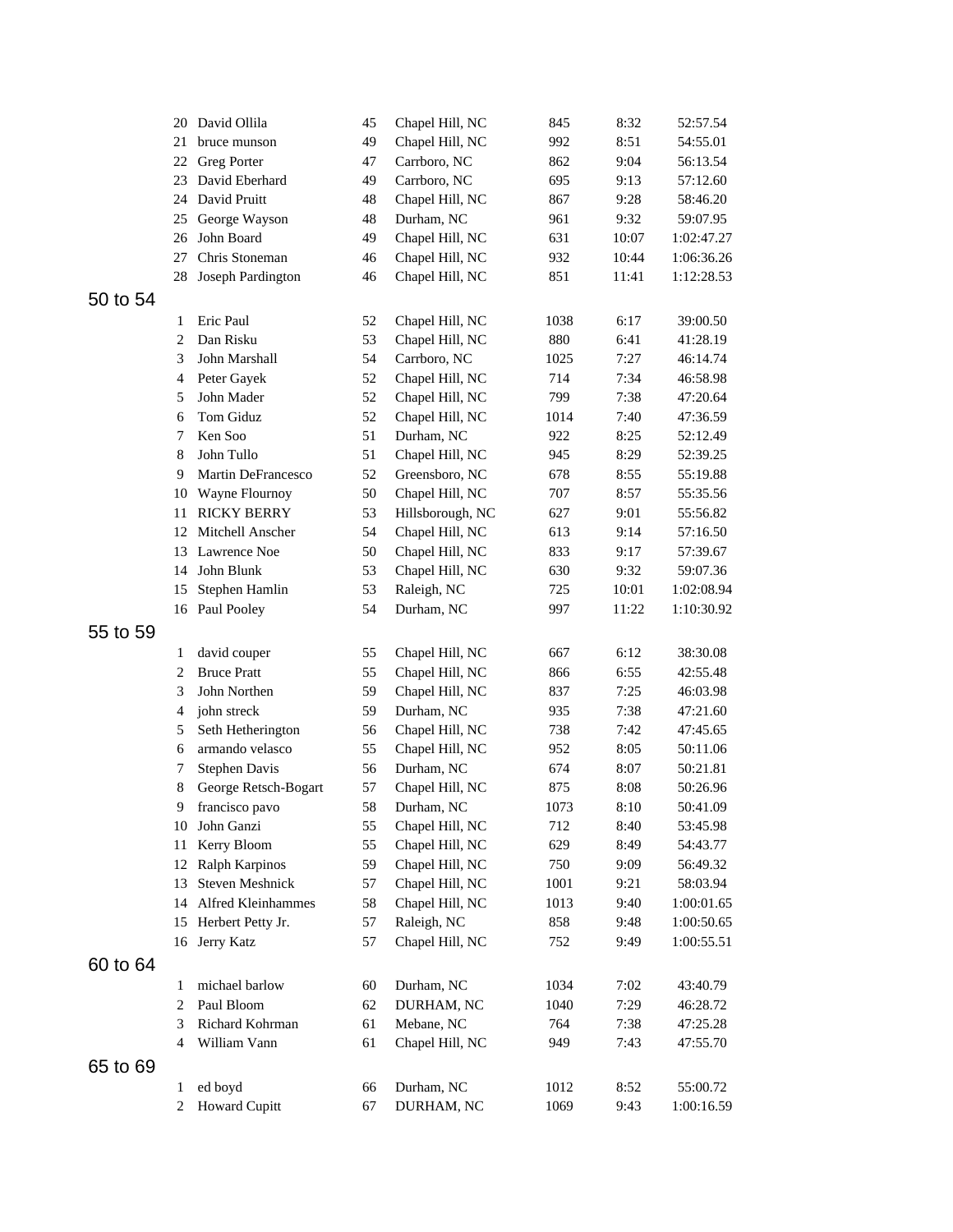|          | 20             | David Ollila          | 45 | Chapel Hill, NC  | 845  | 8:32  | 52:57.54   |
|----------|----------------|-----------------------|----|------------------|------|-------|------------|
|          | 21             | bruce munson          | 49 | Chapel Hill, NC  | 992  | 8:51  | 54:55.01   |
|          | 22             | <b>Greg Porter</b>    | 47 | Carrboro, NC     | 862  | 9:04  | 56:13.54   |
|          | 23             | David Eberhard        | 49 | Carrboro, NC     | 695  | 9:13  | 57:12.60   |
|          | 24             | David Pruitt          | 48 | Chapel Hill, NC  | 867  | 9:28  | 58:46.20   |
|          | 25             | George Wayson         | 48 | Durham, NC       | 961  | 9:32  | 59:07.95   |
|          | 26             | John Board            | 49 | Chapel Hill, NC  | 631  | 10:07 | 1:02:47.27 |
|          | 27             | Chris Stoneman        | 46 | Chapel Hill, NC  | 932  | 10:44 | 1:06:36.26 |
|          | 28             | Joseph Pardington     | 46 | Chapel Hill, NC  | 851  | 11:41 | 1:12:28.53 |
| 50 to 54 |                |                       |    |                  |      |       |            |
|          | 1              | Eric Paul             | 52 | Chapel Hill, NC  | 1038 | 6:17  | 39:00.50   |
|          | 2              | Dan Risku             | 53 | Chapel Hill, NC  | 880  | 6:41  | 41:28.19   |
|          | 3              | John Marshall         | 54 | Carrboro, NC     | 1025 | 7:27  | 46:14.74   |
|          | 4              | Peter Gayek           | 52 | Chapel Hill, NC  | 714  | 7:34  | 46:58.98   |
|          | 5              | John Mader            | 52 | Chapel Hill, NC  | 799  | 7:38  | 47:20.64   |
|          | 6              | Tom Giduz             | 52 | Chapel Hill, NC  | 1014 | 7:40  | 47:36.59   |
|          | 7              | Ken Soo               | 51 | Durham, NC       | 922  | 8:25  | 52:12.49   |
|          | 8              | John Tullo            | 51 | Chapel Hill, NC  | 945  | 8:29  | 52:39.25   |
|          | 9              | Martin DeFrancesco    | 52 | Greensboro, NC   | 678  | 8:55  | 55:19.88   |
|          | 10             | Wayne Flournoy        | 50 | Chapel Hill, NC  | 707  | 8:57  | 55:35.56   |
|          | 11             | <b>RICKY BERRY</b>    | 53 | Hillsborough, NC | 627  | 9:01  | 55:56.82   |
|          | 12             | Mitchell Anscher      | 54 | Chapel Hill, NC  | 613  | 9:14  | 57:16.50   |
|          | 13             | Lawrence Noe          | 50 | Chapel Hill, NC  | 833  | 9:17  | 57:39.67   |
|          | 14             | John Blunk            | 53 | Chapel Hill, NC  | 630  | 9:32  | 59:07.36   |
|          | 15             | Stephen Hamlin        | 53 | Raleigh, NC      | 725  | 10:01 | 1:02:08.94 |
|          |                | 16 Paul Pooley        | 54 | Durham, NC       | 997  | 11:22 | 1:10:30.92 |
|          |                |                       |    |                  |      |       |            |
| 55 to 59 |                |                       |    |                  |      |       |            |
|          | 1              | david couper          | 55 | Chapel Hill, NC  | 667  | 6:12  | 38:30.08   |
|          | $\overline{2}$ | <b>Bruce Pratt</b>    | 55 | Chapel Hill, NC  | 866  | 6:55  | 42:55.48   |
|          | 3              | John Northen          | 59 | Chapel Hill, NC  | 837  | 7:25  | 46:03.98   |
|          | 4              | john streck           | 59 | Durham, NC       | 935  | 7:38  | 47:21.60   |
|          | 5              | Seth Hetherington     | 56 | Chapel Hill, NC  | 738  | 7:42  | 47:45.65   |
|          | 6              | armando velasco       | 55 | Chapel Hill, NC  | 952  | 8:05  | 50:11.06   |
|          | 7              | Stephen Davis         | 56 | Durham, NC       | 674  | 8:07  | 50:21.81   |
|          | 8              | George Retsch-Bogart  | 57 | Chapel Hill, NC  | 875  | 8:08  | 50:26.96   |
|          | 9              | francisco pavo        | 58 | Durham, NC       | 1073 | 8:10  | 50:41.09   |
|          |                | 10 John Ganzi         | 55 | Chapel Hill, NC  | 712  | 8:40  | 53:45.98   |
|          | 11             | Kerry Bloom           | 55 | Chapel Hill, NC  | 629  | 8:49  | 54:43.77   |
|          | 12             | Ralph Karpinos        | 59 | Chapel Hill, NC  | 750  | 9:09  | 56:49.32   |
|          | 13             | Steven Meshnick       | 57 | Chapel Hill, NC  | 1001 | 9:21  | 58:03.94   |
|          |                | 14 Alfred Kleinhammes | 58 | Chapel Hill, NC  | 1013 | 9:40  | 1:00:01.65 |
|          |                | 15 Herbert Petty Jr.  | 57 | Raleigh, NC      | 858  | 9:48  | 1:00:50.65 |
|          | 16             | Jerry Katz            | 57 | Chapel Hill, NC  | 752  | 9:49  | 1:00:55.51 |
| 60 to 64 |                |                       |    |                  |      |       |            |
|          | 1              | michael barlow        | 60 | Durham, NC       | 1034 | 7:02  | 43:40.79   |
|          | 2              | Paul Bloom            | 62 | DURHAM, NC       | 1040 | 7:29  | 46:28.72   |
|          | 3              | Richard Kohrman       | 61 | Mebane, NC       | 764  | 7:38  | 47:25.28   |
|          | 4              | William Vann          | 61 | Chapel Hill, NC  | 949  | 7:43  | 47:55.70   |
| 65 to 69 |                |                       |    |                  |      |       |            |
|          | 1              | ed boyd               | 66 | Durham, NC       | 1012 | 8:52  | 55:00.72   |
|          | $\overline{c}$ | <b>Howard Cupitt</b>  | 67 | DURHAM, NC       | 1069 | 9:43  | 1:00:16.59 |
|          |                |                       |    |                  |      |       |            |